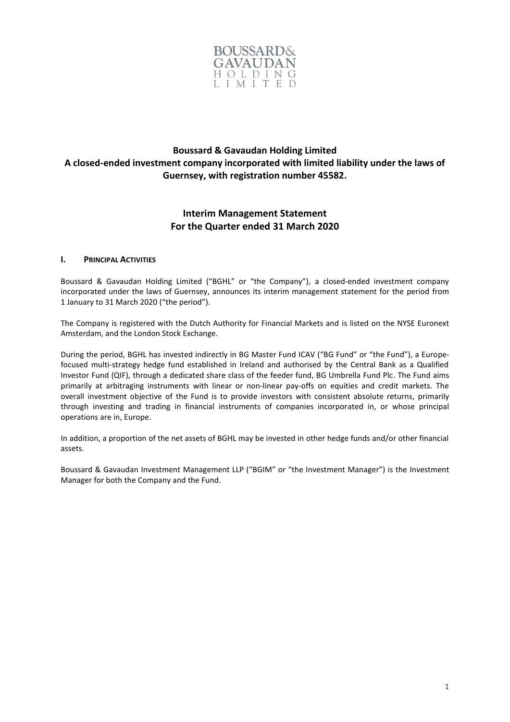

# **Boussard & Gavaudan Holding Limited A closed-ended investment company incorporated with limited liability under the laws of Guernsey, with registration number 45582.**

# **Interim Management Statement For the Quarter ended 31 March 2020**

# **I. PRINCIPAL ACTIVITIES**

Boussard & Gavaudan Holding Limited ("BGHL" or "the Company"), a closed-ended investment company incorporated under the laws of Guernsey, announces its interim management statement for the period from 1 January to 31 March 2020 ("the period").

The Company is registered with the Dutch Authority for Financial Markets and is listed on the NYSE Euronext Amsterdam, and the London Stock Exchange.

During the period, BGHL has invested indirectly in BG Master Fund ICAV ("BG Fund" or "the Fund"), a Europefocused multi-strategy hedge fund established in Ireland and authorised by the Central Bank as a Qualified Investor Fund (QIF), through a dedicated share class of the feeder fund, BG Umbrella Fund Plc. The Fund aims primarily at arbitraging instruments with linear or non-linear pay-offs on equities and credit markets. The overall investment objective of the Fund is to provide investors with consistent absolute returns, primarily through investing and trading in financial instruments of companies incorporated in, or whose principal operations are in, Europe.

In addition, a proportion of the net assets of BGHL may be invested in other hedge funds and/or other financial assets.

Boussard & Gavaudan Investment Management LLP ("BGIM" or "the Investment Manager") is the Investment Manager for both the Company and the Fund.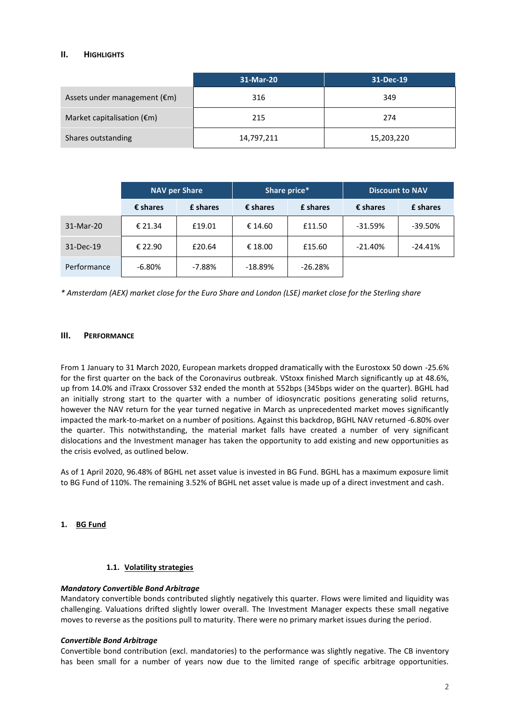# **II. HIGHLIGHTS**

|                                        | 31-Mar-20  | 31-Dec-19  |
|----------------------------------------|------------|------------|
| Assets under management $(\epsilon m)$ | 316        | 349        |
| Market capitalisation $(\epsilon m)$   | 215        | 274        |
| Shares outstanding                     | 14,797,211 | 15,203,220 |

|             | <b>NAV per Share</b> |          | Share price*      |                 | <b>Discount to NAV</b> |                 |
|-------------|----------------------|----------|-------------------|-----------------|------------------------|-----------------|
|             | $\epsilon$ shares    | £ shares | $\epsilon$ shares | <b>£</b> shares | $\epsilon$ shares      | <b>f</b> shares |
| 31-Mar-20   | € 21.34              | £19.01   | € 14.60           | £11.50          | $-31.59%$              | $-39.50%$       |
| 31-Dec-19   | € 22.90              | £20.64   | € 18.00           | £15.60          | $-21.40\%$             | $-24.41%$       |
| Performance | $-6.80%$             | $-7.88%$ | $-18.89%$         | $-26.28%$       |                        |                 |

*\* Amsterdam (AEX) market close for the Euro Share and London (LSE) market close for the Sterling share*

# **III. PERFORMANCE**

From 1 January to 31 March 2020, European markets dropped dramatically with the Eurostoxx 50 down -25.6% for the first quarter on the back of the Coronavirus outbreak. VStoxx finished March significantly up at 48.6%, up from 14.0% and iTraxx Crossover S32 ended the month at 552bps (345bps wider on the quarter). BGHL had an initially strong start to the quarter with a number of idiosyncratic positions generating solid returns, however the NAV return for the year turned negative in March as unprecedented market moves significantly impacted the mark-to-market on a number of positions. Against this backdrop, BGHL NAV returned -6.80% over the quarter. This notwithstanding, the material market falls have created a number of very significant dislocations and the Investment manager has taken the opportunity to add existing and new opportunities as the crisis evolved, as outlined below.

As of 1 April 2020, 96.48% of BGHL net asset value is invested in BG Fund. BGHL has a maximum exposure limit to BG Fund of 110%. The remaining 3.52% of BGHL net asset value is made up of a direct investment and cash.

#### **1. BG Fund**

#### **1.1. Volatility strategies**

#### *Mandatory Convertible Bond Arbitrage*

Mandatory convertible bonds contributed slightly negatively this quarter. Flows were limited and liquidity was challenging. Valuations drifted slightly lower overall. The Investment Manager expects these small negative moves to reverse as the positions pull to maturity. There were no primary market issues during the period.

#### *Convertible Bond Arbitrage*

Convertible bond contribution (excl. mandatories) to the performance was slightly negative. The CB inventory has been small for a number of years now due to the limited range of specific arbitrage opportunities.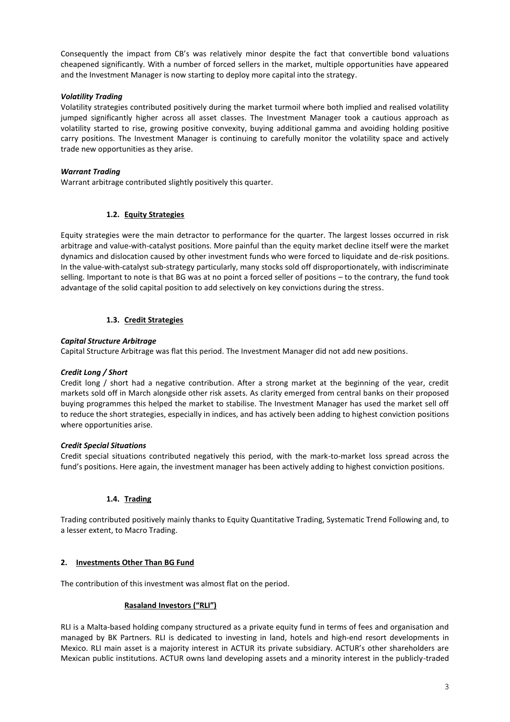Consequently the impact from CB's was relatively minor despite the fact that convertible bond valuations cheapened significantly. With a number of forced sellers in the market, multiple opportunities have appeared and the Investment Manager is now starting to deploy more capital into the strategy.

# *Volatility Trading*

Volatility strategies contributed positively during the market turmoil where both implied and realised volatility jumped significantly higher across all asset classes. The Investment Manager took a cautious approach as volatility started to rise, growing positive convexity, buying additional gamma and avoiding holding positive carry positions. The Investment Manager is continuing to carefully monitor the volatility space and actively trade new opportunities as they arise.

# *Warrant Trading*

Warrant arbitrage contributed slightly positively this quarter.

# **1.2. Equity Strategies**

Equity strategies were the main detractor to performance for the quarter. The largest losses occurred in risk arbitrage and value-with-catalyst positions. More painful than the equity market decline itself were the market dynamics and dislocation caused by other investment funds who were forced to liquidate and de-risk positions. In the value-with-catalyst sub-strategy particularly, many stocks sold off disproportionately, with indiscriminate selling. Important to note is that BG was at no point a forced seller of positions – to the contrary, the fund took advantage of the solid capital position to add selectively on key convictions during the stress.

# **1.3. Credit Strategies**

#### *Capital Structure Arbitrage*

Capital Structure Arbitrage was flat this period. The Investment Manager did not add new positions.

#### *Credit Long / Short*

Credit long / short had a negative contribution. After a strong market at the beginning of the year, credit markets sold off in March alongside other risk assets. As clarity emerged from central banks on their proposed buying programmes this helped the market to stabilise. The Investment Manager has used the market sell off to reduce the short strategies, especially in indices, and has actively been adding to highest conviction positions where opportunities arise.

#### *Credit Special Situations*

Credit special situations contributed negatively this period, with the mark-to-market loss spread across the fund's positions. Here again, the investment manager has been actively adding to highest conviction positions.

# **1.4. Trading**

Trading contributed positively mainly thanks to Equity Quantitative Trading, Systematic Trend Following and, to a lesser extent, to Macro Trading.

# **2. Investments Other Than BG Fund**

The contribution of this investment was almost flat on the period.

#### **Rasaland Investors ("RLI")**

RLI is a Malta-based holding company structured as a private equity fund in terms of fees and organisation and managed by BK Partners. RLI is dedicated to investing in land, hotels and high-end resort developments in Mexico. RLI main asset is a majority interest in ACTUR its private subsidiary. ACTUR's other shareholders are Mexican public institutions. ACTUR owns land developing assets and a minority interest in the publicly-traded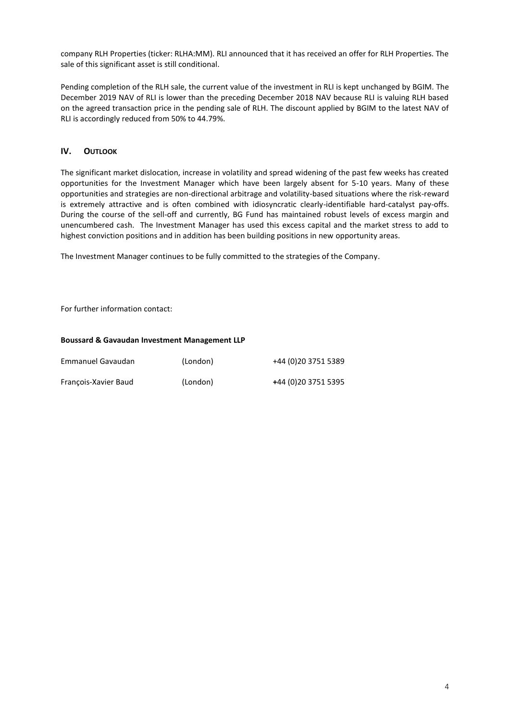company RLH Properties (ticker: RLHA:MM). RLI announced that it has received an offer for RLH Properties. The sale of this significant asset is still conditional.

Pending completion of the RLH sale, the current value of the investment in RLI is kept unchanged by BGIM. The December 2019 NAV of RLI is lower than the preceding December 2018 NAV because RLI is valuing RLH based on the agreed transaction price in the pending sale of RLH. The discount applied by BGIM to the latest NAV of RLI is accordingly reduced from 50% to 44.79%.

# **IV. OUTLOOK**

The significant market dislocation, increase in volatility and spread widening of the past few weeks has created opportunities for the Investment Manager which have been largely absent for 5-10 years. Many of these opportunities and strategies are non-directional arbitrage and volatility-based situations where the risk-reward is extremely attractive and is often combined with idiosyncratic clearly-identifiable hard-catalyst pay-offs. During the course of the sell-off and currently, BG Fund has maintained robust levels of excess margin and unencumbered cash. The Investment Manager has used this excess capital and the market stress to add to highest conviction positions and in addition has been building positions in new opportunity areas.

The Investment Manager continues to be fully committed to the strategies of the Company.

For further information contact:

#### **Boussard & Gavaudan Investment Management LLP**

| Emmanuel Gavaudan    | (London) | +44 (0)20 3751 5389  |
|----------------------|----------|----------------------|
| François-Xavier Baud | (London) | +44 (0) 20 3751 5395 |